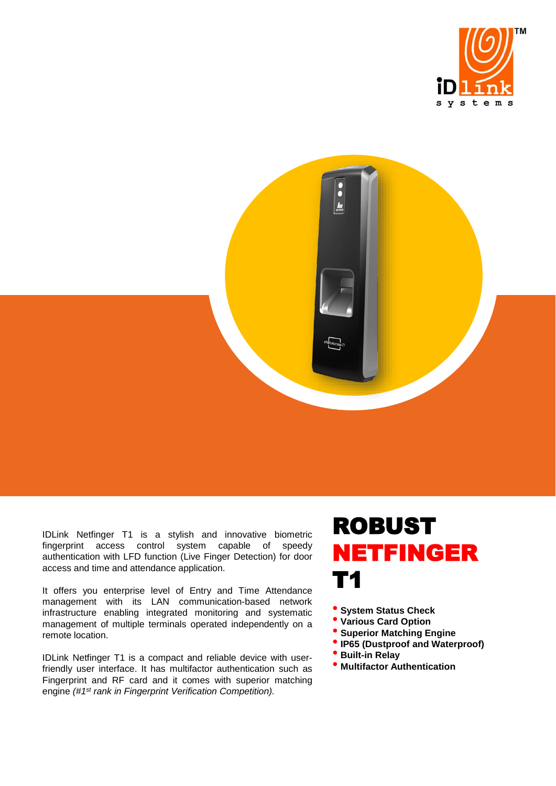



IDLink Netfinger T1 is a stylish and innovative biometric fingerprint access control system capable of authentication with LFD function (Live Finger Detection) for door access and time and attendance application.

It offers you enterprise level of Entry and Time Attendance management with its LAN communication-based network infrastructure enabling integrated monitoring and systematic management of multiple terminals operated independently on a remote location.

IDLink Netfinger T1 is a compact and reliable device with userfriendly user interface. It has multifactor authentication such as Fingerprint and RF card and it comes with superior matching engine *(#1 st rank in Fingerprint Verification Competition).*

## ROBUST NETFINGER T1

• **System Status Check**

- **Various Card Option**
- **Superior Matching Engine**
- •**IP65 (Dustproof and Waterproof)**
- **Built-in Relay**
- **Multifactor Authentication**